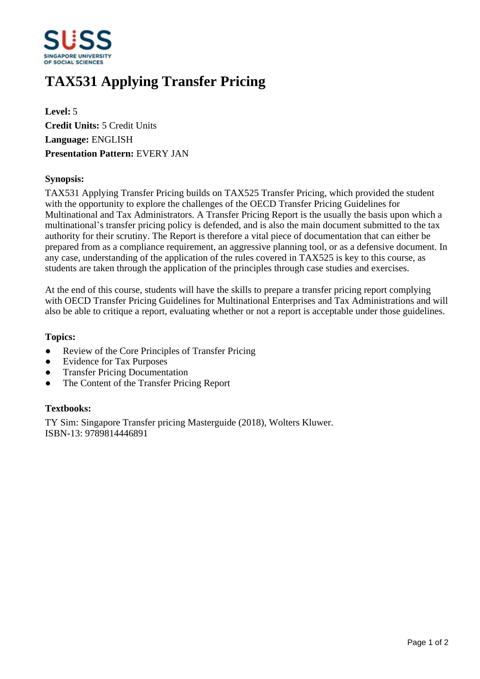

# **TAX531 Applying Transfer Pricing**

**Level:** 5 **Credit Units:** 5 Credit Units **Language:** ENGLISH **Presentation Pattern:** EVERY JAN

### **Synopsis:**

TAX531 Applying Transfer Pricing builds on TAX525 Transfer Pricing, which provided the student with the opportunity to explore the challenges of the OECD Transfer Pricing Guidelines for Multinational and Tax Administrators. A Transfer Pricing Report is the usually the basis upon which a multinational's transfer pricing policy is defended, and is also the main document submitted to the tax authority for their scrutiny. The Report is therefore a vital piece of documentation that can either be prepared from as a compliance requirement, an aggressive planning tool, or as a defensive document. In any case, understanding of the application of the rules covered in TAX525 is key to this course, as students are taken through the application of the principles through case studies and exercises.

At the end of this course, students will have the skills to prepare a transfer pricing report complying with OECD Transfer Pricing Guidelines for Multinational Enterprises and Tax Administrations and will also be able to critique a report, evaluating whether or not a report is acceptable under those guidelines.

#### **Topics:**

- Review of the Core Principles of Transfer Pricing
- Evidence for Tax Purposes
- Transfer Pricing Documentation
- The Content of the Transfer Pricing Report

# **Textbooks:**

TY Sim: Singapore Transfer pricing Masterguide (2018), Wolters Kluwer. ISBN-13: 9789814446891